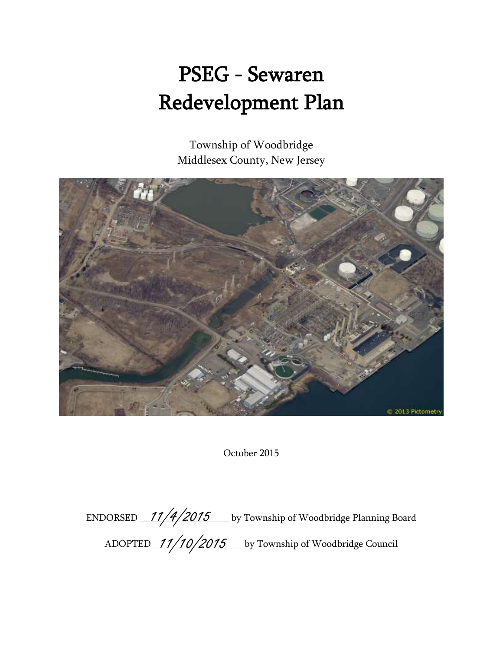# PSEG - Sewaren Redevelopment Plan

Township of Woodbridge Middlesex County, New Jersey



October 2015

ENDORSED  $\frac{11/4/2015}$  by Township of Woodbridge Planning Board ADOPTED 11/10/2015 Let by Township of Woodbridge Council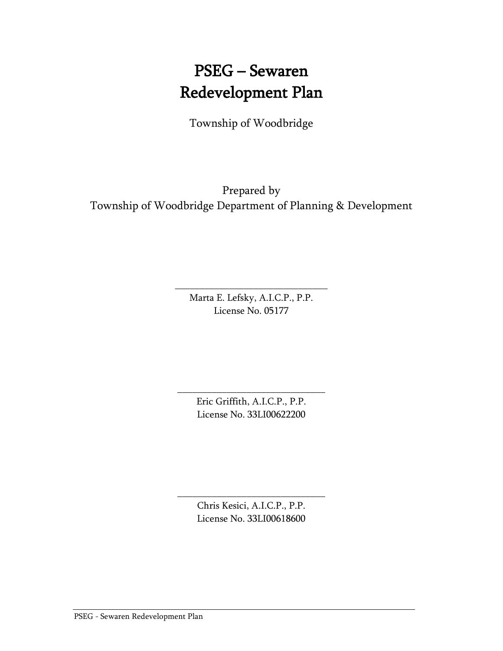# PSEG – Sewaren Redevelopment Plan

Township of Woodbridge

Prepared by Township of Woodbridge Department of Planning & Development

> Marta E. Lefsky, A.I.C.P., P.P. License No. 05177

\_\_\_\_\_\_\_\_\_\_\_\_\_\_\_\_\_\_\_\_\_\_\_\_\_\_\_\_\_\_\_

Eric Griffith, A.I.C.P., P.P. License No. 33LI00622200

\_\_\_\_\_\_\_\_\_\_\_\_\_\_\_\_\_\_\_\_\_\_\_\_\_\_\_\_\_\_

Chris Kesici, A.I.C.P., P.P. License No. 33LI00618600

\_\_\_\_\_\_\_\_\_\_\_\_\_\_\_\_\_\_\_\_\_\_\_\_\_\_\_\_\_\_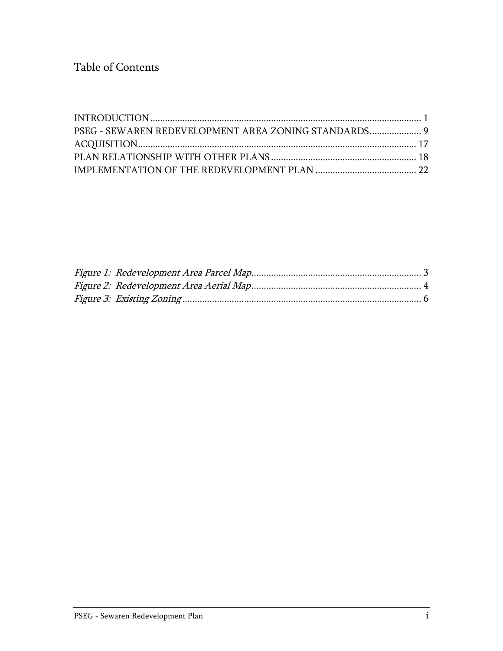Table of Contents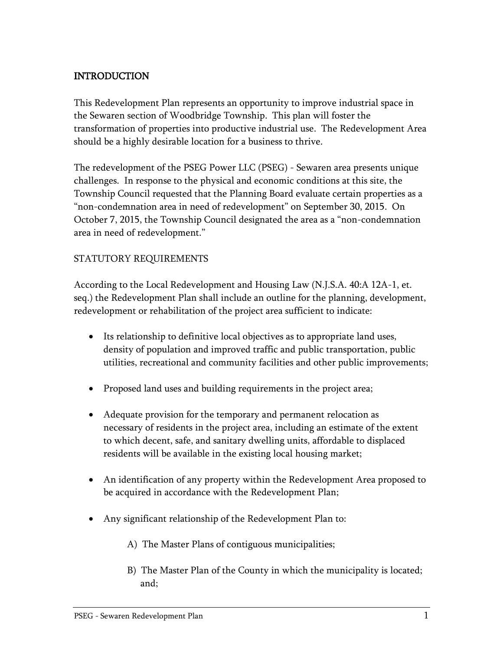# <span id="page-3-0"></span>INTRODUCTION

This Redevelopment Plan represents an opportunity to improve industrial space in the Sewaren section of Woodbridge Township. This plan will foster the transformation of properties into productive industrial use. The Redevelopment Area should be a highly desirable location for a business to thrive.

The redevelopment of the PSEG Power LLC (PSEG) - Sewaren area presents unique challenges. In response to the physical and economic conditions at this site, the Township Council requested that the Planning Board evaluate certain properties as a "non-condemnation area in need of redevelopment" on September 30, 2015. On October 7, 2015, the Township Council designated the area as a "non-condemnation area in need of redevelopment."

#### STATUTORY REQUIREMENTS

According to the Local Redevelopment and Housing Law (N.J.S.A. 40:A 12A-1, et. seq.) the Redevelopment Plan shall include an outline for the planning, development, redevelopment or rehabilitation of the project area sufficient to indicate:

- Its relationship to definitive local objectives as to appropriate land uses, density of population and improved traffic and public transportation, public utilities, recreational and community facilities and other public improvements;
- Proposed land uses and building requirements in the project area;
- Adequate provision for the temporary and permanent relocation as necessary of residents in the project area, including an estimate of the extent to which decent, safe, and sanitary dwelling units, affordable to displaced residents will be available in the existing local housing market;
- An identification of any property within the Redevelopment Area proposed to be acquired in accordance with the Redevelopment Plan;
- Any significant relationship of the Redevelopment Plan to:
	- A) The Master Plans of contiguous municipalities;
	- B) The Master Plan of the County in which the municipality is located; and;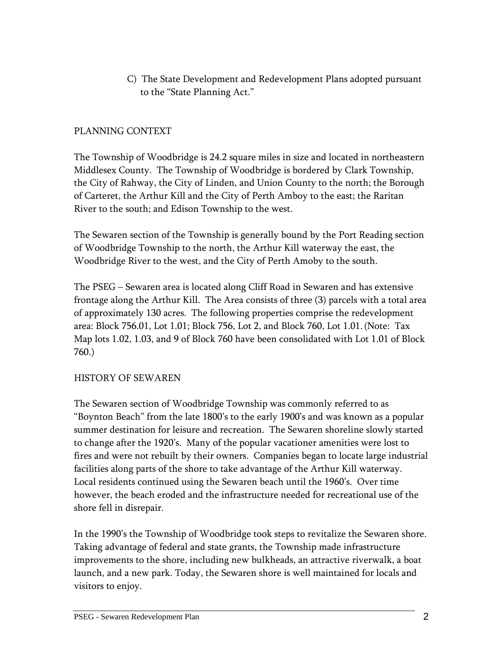C) The State Development and Redevelopment Plans adopted pursuant to the "State Planning Act."

### PLANNING CONTEXT

The Township of Woodbridge is 24.2 square miles in size and located in northeastern Middlesex County. The Township of Woodbridge is bordered by Clark Township, the City of Rahway, the City of Linden, and Union County to the north; the Borough of Carteret, the Arthur Kill and the City of Perth Amboy to the east; the Raritan River to the south; and Edison Township to the west.

The Sewaren section of the Township is generally bound by the Port Reading section of Woodbridge Township to the north, the Arthur Kill waterway the east, the Woodbridge River to the west, and the City of Perth Amoby to the south.

The PSEG – Sewaren area is located along Cliff Road in Sewaren and has extensive frontage along the Arthur Kill. The Area consists of three (3) parcels with a total area of approximately 130 acres. The following properties comprise the redevelopment area: Block 756.01, Lot 1.01; Block 756, Lot 2, and Block 760, Lot 1.01. (Note: Tax Map lots 1.02, 1.03, and 9 of Block 760 have been consolidated with Lot 1.01 of Block 760.)

#### HISTORY OF SEWAREN

The Sewaren section of Woodbridge Township was commonly referred to as "Boynton Beach" from the late 1800's to the early 1900's and was known as a popular summer destination for leisure and recreation. The Sewaren shoreline slowly started to change after the 1920's. Many of the popular vacationer amenities were lost to fires and were not rebuilt by their owners. Companies began to locate large industrial facilities along parts of the shore to take advantage of the Arthur Kill waterway. Local residents continued using the Sewaren beach until the 1960's. Over time however, the beach eroded and the infrastructure needed for recreational use of the shore fell in disrepair.

<span id="page-4-0"></span>In the 1990's the Township of Woodbridge took steps to revitalize the Sewaren shore. Taking advantage of federal and state grants, the Township made infrastructure improvements to the shore, including new bulkheads, an attractive riverwalk, a boat launch, and a new park. Today, the Sewaren shore is well maintained for locals and visitors to enjoy.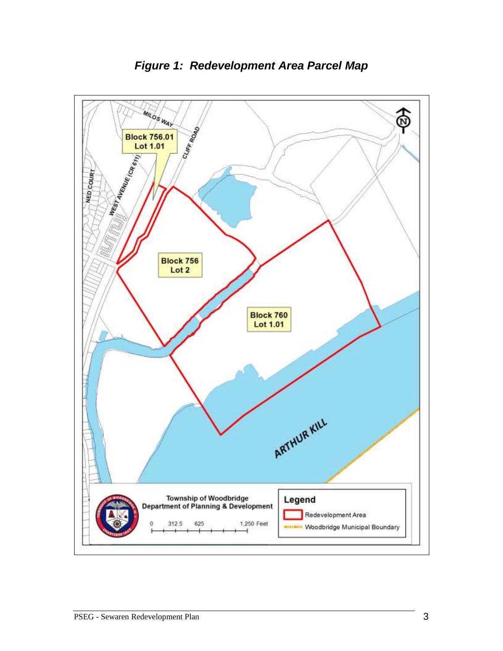

*Figure 1: Redevelopment Area Parcel Map*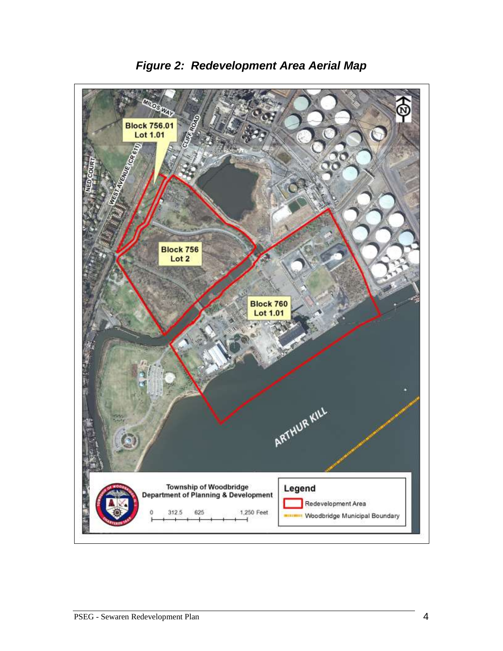<span id="page-6-0"></span>

*Figure 2: Redevelopment Area Aerial Map*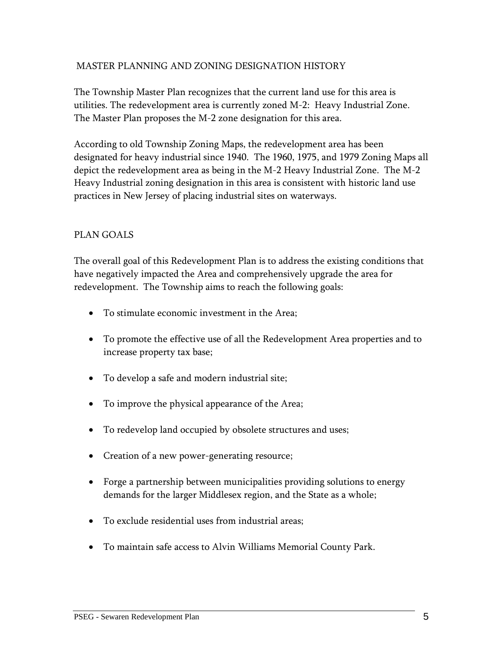#### MASTER PLANNING AND ZONING DESIGNATION HISTORY

The Township Master Plan recognizes that the current land use for this area is utilities. The redevelopment area is currently zoned M-2: Heavy Industrial Zone. The Master Plan proposes the M-2 zone designation for this area.

According to old Township Zoning Maps, the redevelopment area has been designated for heavy industrial since 1940. The 1960, 1975, and 1979 Zoning Maps all depict the redevelopment area as being in the M-2 Heavy Industrial Zone. The M-2 Heavy Industrial zoning designation in this area is consistent with historic land use practices in New Jersey of placing industrial sites on waterways.

#### PLAN GOALS

The overall goal of this Redevelopment Plan is to address the existing conditions that have negatively impacted the Area and comprehensively upgrade the area for redevelopment. The Township aims to reach the following goals:

- To stimulate economic investment in the Area;
- To promote the effective use of all the Redevelopment Area properties and to increase property tax base;
- To develop a safe and modern industrial site;
- To improve the physical appearance of the Area;
- To redevelop land occupied by obsolete structures and uses;
- Creation of a new power-generating resource;
- Forge a partnership between municipalities providing solutions to energy demands for the larger Middlesex region, and the State as a whole;
- To exclude residential uses from industrial areas;
- To maintain safe access to Alvin Williams Memorial County Park.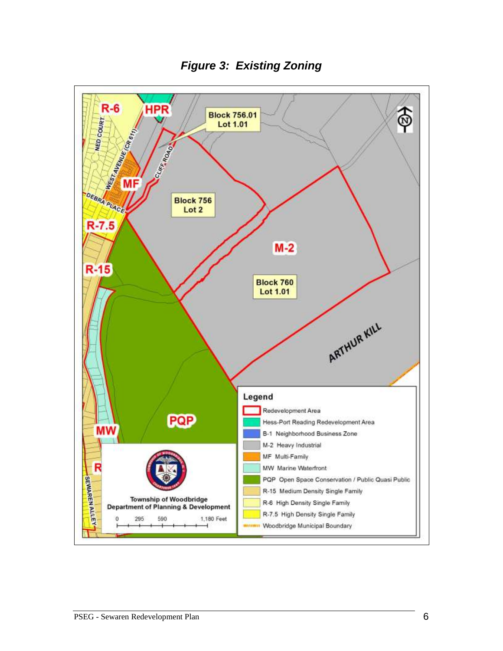<span id="page-8-0"></span>

*Figure 3: Existing Zoning*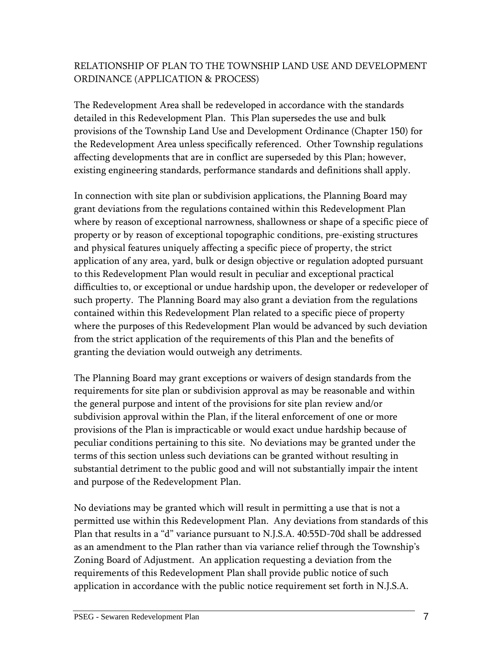# RELATIONSHIP OF PLAN TO THE TOWNSHIP LAND USE AND DEVELOPMENT ORDINANCE (APPLICATION & PROCESS)

The Redevelopment Area shall be redeveloped in accordance with the standards detailed in this Redevelopment Plan. This Plan supersedes the use and bulk provisions of the Township Land Use and Development Ordinance (Chapter 150) for the Redevelopment Area unless specifically referenced. Other Township regulations affecting developments that are in conflict are superseded by this Plan; however, existing engineering standards, performance standards and definitions shall apply.

In connection with site plan or subdivision applications, the Planning Board may grant deviations from the regulations contained within this Redevelopment Plan where by reason of exceptional narrowness, shallowness or shape of a specific piece of property or by reason of exceptional topographic conditions, pre-existing structures and physical features uniquely affecting a specific piece of property, the strict application of any area, yard, bulk or design objective or regulation adopted pursuant to this Redevelopment Plan would result in peculiar and exceptional practical difficulties to, or exceptional or undue hardship upon, the developer or redeveloper of such property. The Planning Board may also grant a deviation from the regulations contained within this Redevelopment Plan related to a specific piece of property where the purposes of this Redevelopment Plan would be advanced by such deviation from the strict application of the requirements of this Plan and the benefits of granting the deviation would outweigh any detriments.

The Planning Board may grant exceptions or waivers of design standards from the requirements for site plan or subdivision approval as may be reasonable and within the general purpose and intent of the provisions for site plan review and/or subdivision approval within the Plan, if the literal enforcement of one or more provisions of the Plan is impracticable or would exact undue hardship because of peculiar conditions pertaining to this site. No deviations may be granted under the terms of this section unless such deviations can be granted without resulting in substantial detriment to the public good and will not substantially impair the intent and purpose of the Redevelopment Plan.

No deviations may be granted which will result in permitting a use that is not a permitted use within this Redevelopment Plan. Any deviations from standards of this Plan that results in a "d" variance pursuant to N.J.S.A. 40:55D-70d shall be addressed as an amendment to the Plan rather than via variance relief through the Township's Zoning Board of Adjustment. An application requesting a deviation from the requirements of this Redevelopment Plan shall provide public notice of such application in accordance with the public notice requirement set forth in N.J.S.A.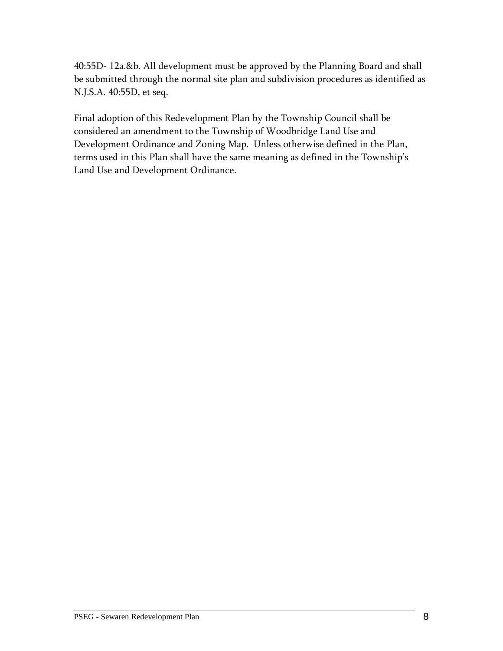40:55D- 12a.&b. All development must be approved by the Planning Board and shall be submitted through the normal site plan and subdivision procedures as identified as N.J.S.A. 40:55D, et seq.

Final adoption of this Redevelopment Plan by the Township Council shall be considered an amendment to the Township of Woodbridge Land Use and Development Ordinance and Zoning Map. Unless otherwise defined in the Plan, terms used in this Plan shall have the same meaning as defined in the Township's Land Use and Development Ordinance.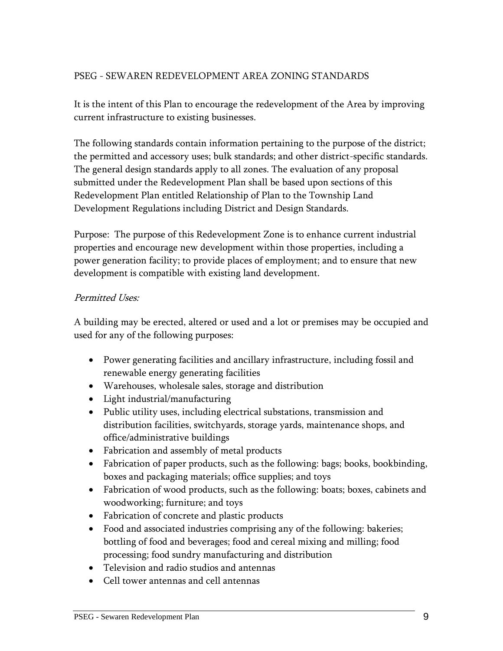# <span id="page-11-0"></span>PSEG - SEWAREN REDEVELOPMENT AREA ZONING STANDARDS

It is the intent of this Plan to encourage the redevelopment of the Area by improving current infrastructure to existing businesses.

The following standards contain information pertaining to the purpose of the district; the permitted and accessory uses; bulk standards; and other district-specific standards. The general design standards apply to all zones. The evaluation of any proposal submitted under the Redevelopment Plan shall be based upon sections of this Redevelopment Plan entitled Relationship of Plan to the Township Land Development Regulations including District and Design Standards.

Purpose: The purpose of this Redevelopment Zone is to enhance current industrial properties and encourage new development within those properties, including a power generation facility; to provide places of employment; and to ensure that new development is compatible with existing land development.

#### Permitted Uses:

A building may be erected, altered or used and a lot or premises may be occupied and used for any of the following purposes:

- Power generating facilities and ancillary infrastructure, including fossil and renewable energy generating facilities
- Warehouses, wholesale sales, storage and distribution
- Light industrial/manufacturing
- Public utility uses, including electrical substations, transmission and distribution facilities, switchyards, storage yards, maintenance shops, and office/administrative buildings
- Fabrication and assembly of metal products
- Fabrication of paper products, such as the following: bags; books, bookbinding, boxes and packaging materials; office supplies; and toys
- Fabrication of wood products, such as the following: boats; boxes, cabinets and woodworking; furniture; and toys
- Fabrication of concrete and plastic products
- Food and associated industries comprising any of the following: bakeries; bottling of food and beverages; food and cereal mixing and milling; food processing; food sundry manufacturing and distribution
- Television and radio studios and antennas
- Cell tower antennas and cell antennas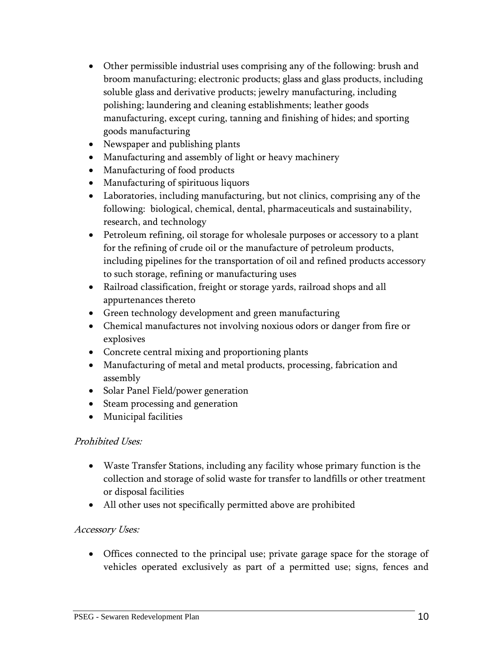- Other permissible industrial uses comprising any of the following: brush and broom manufacturing; electronic products; glass and glass products, including soluble glass and derivative products; jewelry manufacturing, including polishing; laundering and cleaning establishments; leather goods manufacturing, except curing, tanning and finishing of hides; and sporting goods manufacturing
- Newspaper and publishing plants
- Manufacturing and assembly of light or heavy machinery
- Manufacturing of food products
- Manufacturing of spirituous liquors
- Laboratories, including manufacturing, but not clinics, comprising any of the following: biological, chemical, dental, pharmaceuticals and sustainability, research, and technology
- Petroleum refining, oil storage for wholesale purposes or accessory to a plant for the refining of crude oil or the manufacture of petroleum products, including pipelines for the transportation of oil and refined products accessory to such storage, refining or manufacturing uses
- Railroad classification, freight or storage yards, railroad shops and all appurtenances thereto
- Green technology development and green manufacturing
- Chemical manufactures not involving noxious odors or danger from fire or explosives
- Concrete central mixing and proportioning plants
- Manufacturing of metal and metal products, processing, fabrication and assembly
- Solar Panel Field/power generation
- Steam processing and generation
- Municipal facilities

# Prohibited Uses:

- Waste Transfer Stations, including any facility whose primary function is the collection and storage of solid waste for transfer to landfills or other treatment or disposal facilities
- All other uses not specifically permitted above are prohibited

# Accessory Uses:

 Offices connected to the principal use; private garage space for the storage of vehicles operated exclusively as part of a permitted use; signs, fences and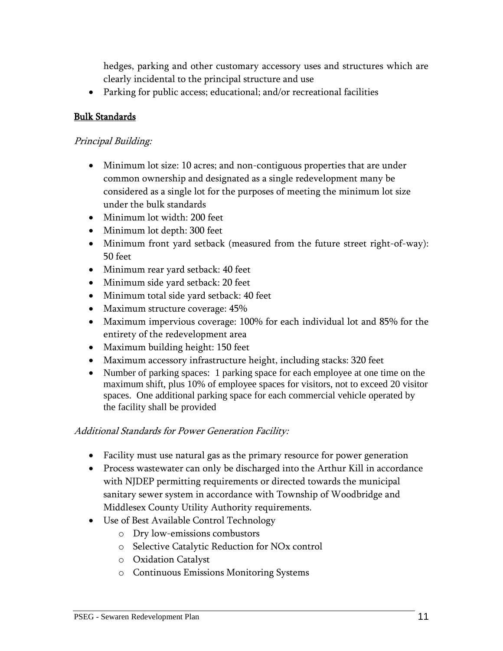hedges, parking and other customary accessory uses and structures which are clearly incidental to the principal structure and use

Parking for public access; educational; and/or recreational facilities

#### Bulk Standards

#### Principal Building:

- Minimum lot size: 10 acres; and non-contiguous properties that are under common ownership and designated as a single redevelopment many be considered as a single lot for the purposes of meeting the minimum lot size under the bulk standards
- Minimum lot width: 200 feet
- Minimum lot depth: 300 feet
- Minimum front yard setback (measured from the future street right-of-way): 50 feet
- Minimum rear yard setback: 40 feet
- Minimum side yard setback: 20 feet
- Minimum total side yard setback: 40 feet
- Maximum structure coverage: 45%
- Maximum impervious coverage: 100% for each individual lot and 85% for the entirety of the redevelopment area
- Maximum building height: 150 feet
- Maximum accessory infrastructure height, including stacks: 320 feet
- Number of parking spaces: 1 parking space for each employee at one time on the maximum shift, plus 10% of employee spaces for visitors, not to exceed 20 visitor spaces. One additional parking space for each commercial vehicle operated by the facility shall be provided

#### Additional Standards for Power Generation Facility:

- Facility must use natural gas as the primary resource for power generation
- Process wastewater can only be discharged into the Arthur Kill in accordance with NJDEP permitting requirements or directed towards the municipal sanitary sewer system in accordance with Township of Woodbridge and Middlesex County Utility Authority requirements.
- Use of Best Available Control Technology
	- o Dry low-emissions combustors
	- o Selective Catalytic Reduction for NOx control
	- o Oxidation Catalyst
	- o Continuous Emissions Monitoring Systems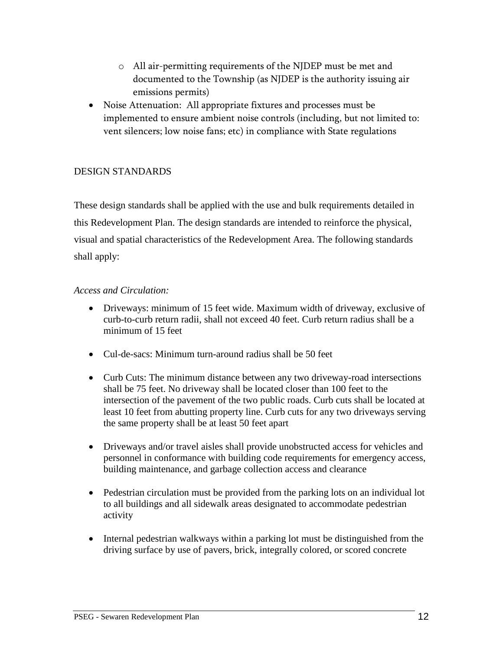- o All air-permitting requirements of the NJDEP must be met and documented to the Township (as NJDEP is the authority issuing air emissions permits)
- Noise Attenuation: All appropriate fixtures and processes must be implemented to ensure ambient noise controls (including, but not limited to: vent silencers; low noise fans; etc) in compliance with State regulations

#### DESIGN STANDARDS

These design standards shall be applied with the use and bulk requirements detailed in this Redevelopment Plan. The design standards are intended to reinforce the physical, visual and spatial characteristics of the Redevelopment Area. The following standards shall apply:

#### *Access and Circulation:*

- Driveways: minimum of 15 feet wide. Maximum width of driveway, exclusive of curb-to-curb return radii, shall not exceed 40 feet. Curb return radius shall be a minimum of 15 feet
- Cul-de-sacs: Minimum turn-around radius shall be 50 feet
- Curb Cuts: The minimum distance between any two driveway-road intersections shall be 75 feet. No driveway shall be located closer than 100 feet to the intersection of the pavement of the two public roads. Curb cuts shall be located at least 10 feet from abutting property line. Curb cuts for any two driveways serving the same property shall be at least 50 feet apart
- Driveways and/or travel aisles shall provide unobstructed access for vehicles and personnel in conformance with building code requirements for emergency access, building maintenance, and garbage collection access and clearance
- Pedestrian circulation must be provided from the parking lots on an individual lot to all buildings and all sidewalk areas designated to accommodate pedestrian activity
- Internal pedestrian walkways within a parking lot must be distinguished from the driving surface by use of pavers, brick, integrally colored, or scored concrete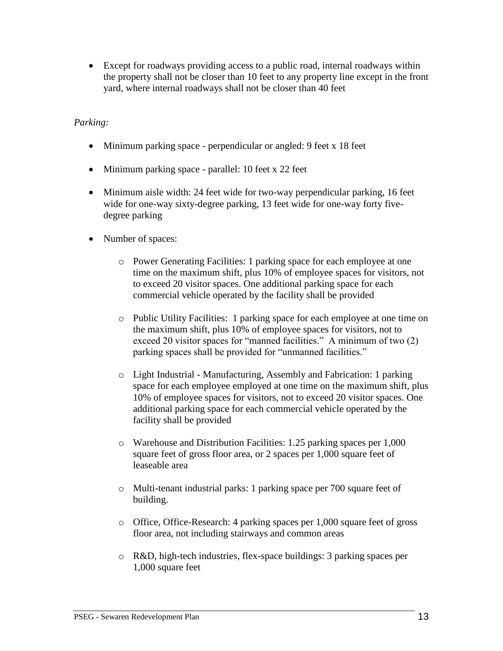Except for roadways providing access to a public road, internal roadways within the property shall not be closer than 10 feet to any property line except in the front yard, where internal roadways shall not be closer than 40 feet

#### *Parking:*

- Minimum parking space perpendicular or angled: 9 feet x 18 feet
- Minimum parking space parallel: 10 feet x 22 feet
- Minimum aisle width: 24 feet wide for two-way perpendicular parking, 16 feet wide for one-way sixty-degree parking, 13 feet wide for one-way forty fivedegree parking
- Number of spaces:
	- o Power Generating Facilities: 1 parking space for each employee at one time on the maximum shift, plus 10% of employee spaces for visitors, not to exceed 20 visitor spaces. One additional parking space for each commercial vehicle operated by the facility shall be provided
	- o Public Utility Facilities: 1 parking space for each employee at one time on the maximum shift, plus 10% of employee spaces for visitors, not to exceed 20 visitor spaces for "manned facilities." A minimum of two (2) parking spaces shall be provided for "unmanned facilities."
	- o Light Industrial Manufacturing, Assembly and Fabrication: 1 parking space for each employee employed at one time on the maximum shift, plus 10% of employee spaces for visitors, not to exceed 20 visitor spaces. One additional parking space for each commercial vehicle operated by the facility shall be provided
	- o Warehouse and Distribution Facilities: 1.25 parking spaces per 1,000 square feet of gross floor area, or 2 spaces per 1,000 square feet of leaseable area
	- o Multi-tenant industrial parks: 1 parking space per 700 square feet of building.
	- o Office, Office-Research: 4 parking spaces per 1,000 square feet of gross floor area, not including stairways and common areas
	- o R&D, high-tech industries, flex-space buildings: 3 parking spaces per 1,000 square feet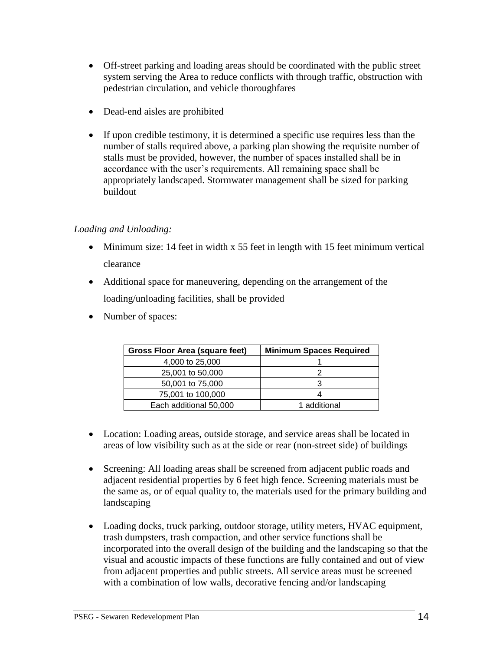- Off-street parking and loading areas should be coordinated with the public street system serving the Area to reduce conflicts with through traffic, obstruction with pedestrian circulation, and vehicle thoroughfares
- Dead-end aisles are prohibited
- If upon credible testimony, it is determined a specific use requires less than the number of stalls required above, a parking plan showing the requisite number of stalls must be provided, however, the number of spaces installed shall be in accordance with the user's requirements. All remaining space shall be appropriately landscaped. Stormwater management shall be sized for parking buildout

#### *Loading and Unloading:*

- Minimum size: 14 feet in width x 55 feet in length with 15 feet minimum vertical clearance
- Additional space for maneuvering, depending on the arrangement of the loading/unloading facilities, shall be provided
- Number of spaces:

| <b>Gross Floor Area (square feet)</b> | <b>Minimum Spaces Required</b> |
|---------------------------------------|--------------------------------|
| 4,000 to 25,000                       |                                |
| 25,001 to 50,000                      |                                |
| 50,001 to 75,000                      |                                |
| 75,001 to 100,000                     |                                |
| Each additional 50,000                | 1 additional                   |

- Location: Loading areas, outside storage, and service areas shall be located in areas of low visibility such as at the side or rear (non-street side) of buildings
- Screening: All loading areas shall be screened from adjacent public roads and adjacent residential properties by 6 feet high fence. Screening materials must be the same as, or of equal quality to, the materials used for the primary building and landscaping
- Loading docks, truck parking, outdoor storage, utility meters, HVAC equipment, trash dumpsters, trash compaction, and other service functions shall be incorporated into the overall design of the building and the landscaping so that the visual and acoustic impacts of these functions are fully contained and out of view from adjacent properties and public streets. All service areas must be screened with a combination of low walls, decorative fencing and/or landscaping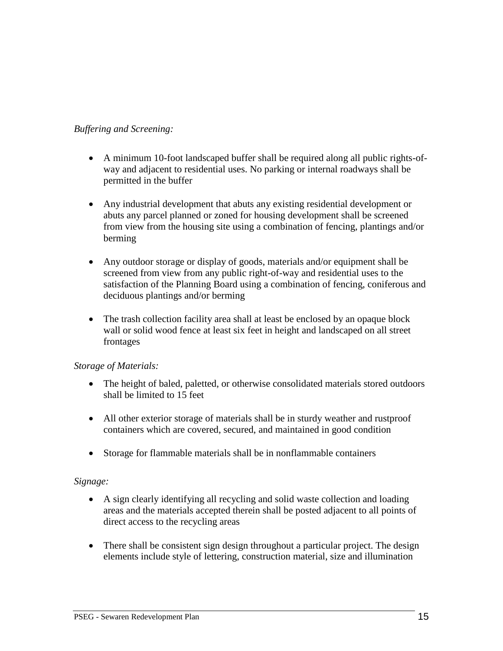#### *Buffering and Screening:*

- A minimum 10-foot landscaped buffer shall be required along all public rights-ofway and adjacent to residential uses. No parking or internal roadways shall be permitted in the buffer
- Any industrial development that abuts any existing residential development or abuts any parcel planned or zoned for housing development shall be screened from view from the housing site using a combination of fencing, plantings and/or berming
- Any outdoor storage or display of goods, materials and/or equipment shall be screened from view from any public right-of-way and residential uses to the satisfaction of the Planning Board using a combination of fencing, coniferous and deciduous plantings and/or berming
- The trash collection facility area shall at least be enclosed by an opaque block wall or solid wood fence at least six feet in height and landscaped on all street frontages

#### *Storage of Materials:*

- The height of baled, paletted, or otherwise consolidated materials stored outdoors shall be limited to 15 feet
- All other exterior storage of materials shall be in sturdy weather and rustproof containers which are covered, secured, and maintained in good condition
- Storage for flammable materials shall be in nonflammable containers

#### *Signage:*

- A sign clearly identifying all recycling and solid waste collection and loading areas and the materials accepted therein shall be posted adjacent to all points of direct access to the recycling areas
- There shall be consistent sign design throughout a particular project. The design elements include style of lettering, construction material, size and illumination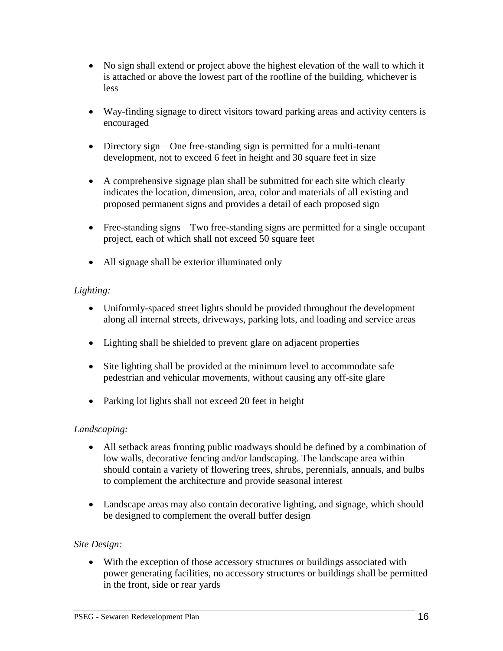- No sign shall extend or project above the highest elevation of the wall to which it is attached or above the lowest part of the roofline of the building, whichever is less
- Way-finding signage to direct visitors toward parking areas and activity centers is encouraged
- Directory sign One free-standing sign is permitted for a multi-tenant development, not to exceed 6 feet in height and 30 square feet in size
- A comprehensive signage plan shall be submitted for each site which clearly indicates the location, dimension, area, color and materials of all existing and proposed permanent signs and provides a detail of each proposed sign
- Free-standing signs Two free-standing signs are permitted for a single occupant project, each of which shall not exceed 50 square feet
- All signage shall be exterior illuminated only

#### *Lighting:*

- Uniformly-spaced street lights should be provided throughout the development along all internal streets, driveways, parking lots, and loading and service areas
- Lighting shall be shielded to prevent glare on adjacent properties
- Site lighting shall be provided at the minimum level to accommodate safe pedestrian and vehicular movements, without causing any off-site glare
- Parking lot lights shall not exceed 20 feet in height

#### *Landscaping:*

- All setback areas fronting public roadways should be defined by a combination of low walls, decorative fencing and/or landscaping. The landscape area within should contain a variety of flowering trees, shrubs, perennials, annuals, and bulbs to complement the architecture and provide seasonal interest
- Landscape areas may also contain decorative lighting, and signage, which should be designed to complement the overall buffer design

#### *Site Design:*

 With the exception of those accessory structures or buildings associated with power generating facilities, no accessory structures or buildings shall be permitted in the front, side or rear yards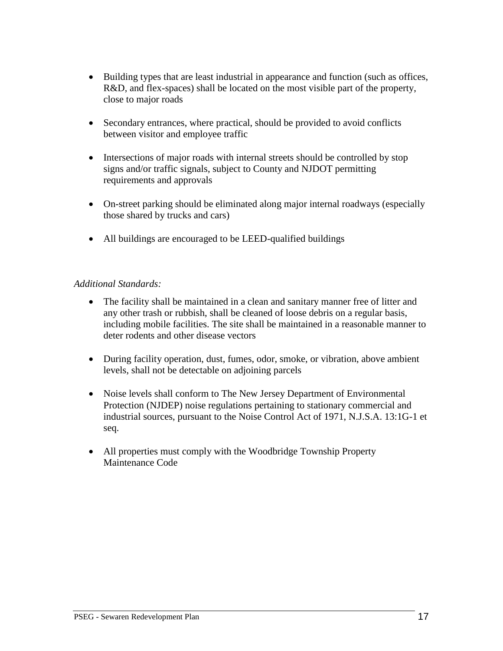- Building types that are least industrial in appearance and function (such as offices, R&D, and flex-spaces) shall be located on the most visible part of the property, close to major roads
- Secondary entrances, where practical, should be provided to avoid conflicts between visitor and employee traffic
- Intersections of major roads with internal streets should be controlled by stop signs and/or traffic signals, subject to County and NJDOT permitting requirements and approvals
- On-street parking should be eliminated along major internal roadways (especially those shared by trucks and cars)
- All buildings are encouraged to be LEED-qualified buildings

#### *Additional Standards:*

- The facility shall be maintained in a clean and sanitary manner free of litter and any other trash or rubbish, shall be cleaned of loose debris on a regular basis, including mobile facilities. The site shall be maintained in a reasonable manner to deter rodents and other disease vectors
- During facility operation, dust, fumes, odor, smoke, or vibration, above ambient levels, shall not be detectable on adjoining parcels
- Noise levels shall conform to The New Jersey Department of Environmental Protection (NJDEP) noise regulations pertaining to stationary commercial and industrial sources, pursuant to the Noise Control Act of 1971, N.J.S.A. 13:1G-1 et seq.
- <span id="page-19-0"></span> All properties must comply with the Woodbridge Township Property Maintenance Code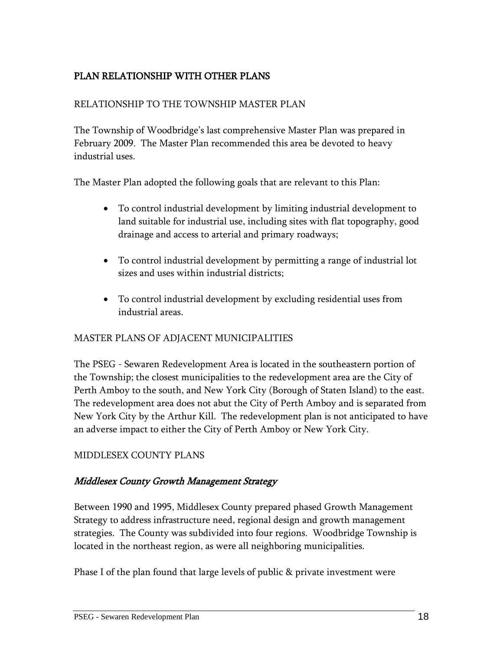# <span id="page-20-0"></span>PLAN RELATIONSHIP WITH OTHER PLANS

#### RELATIONSHIP TO THE TOWNSHIP MASTER PLAN

The Township of Woodbridge's last comprehensive Master Plan was prepared in February 2009. The Master Plan recommended this area be devoted to heavy industrial uses.

The Master Plan adopted the following goals that are relevant to this Plan:

- To control industrial development by limiting industrial development to land suitable for industrial use, including sites with flat topography, good drainage and access to arterial and primary roadways;
- To control industrial development by permitting a range of industrial lot sizes and uses within industrial districts;
- To control industrial development by excluding residential uses from industrial areas.

#### MASTER PLANS OF ADJACENT MUNICIPALITIES

The PSEG - Sewaren Redevelopment Area is located in the southeastern portion of the Township; the closest municipalities to the redevelopment area are the City of Perth Amboy to the south, and New York City (Borough of Staten Island) to the east. The redevelopment area does not abut the City of Perth Amboy and is separated from New York City by the Arthur Kill. The redevelopment plan is not anticipated to have an adverse impact to either the City of Perth Amboy or New York City.

#### MIDDLESEX COUNTY PLANS

#### Middlesex County Growth Management Strategy

Between 1990 and 1995, Middlesex County prepared phased Growth Management Strategy to address infrastructure need, regional design and growth management strategies. The County was subdivided into four regions. Woodbridge Township is located in the northeast region, as were all neighboring municipalities.

Phase I of the plan found that large levels of public & private investment were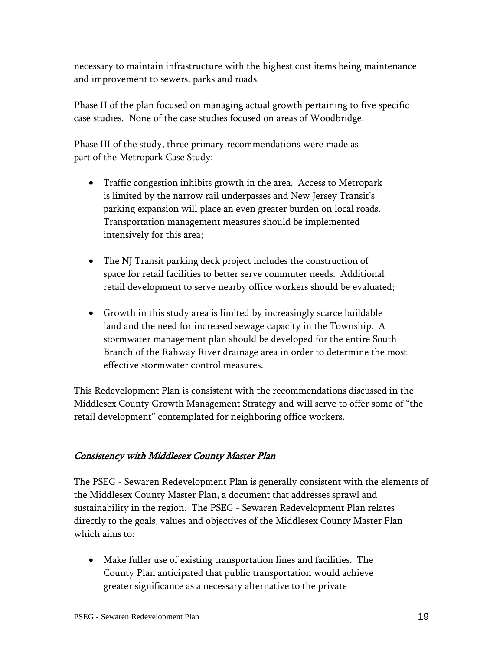necessary to maintain infrastructure with the highest cost items being maintenance and improvement to sewers, parks and roads.

Phase II of the plan focused on managing actual growth pertaining to five specific case studies. None of the case studies focused on areas of Woodbridge.

Phase III of the study, three primary recommendations were made as part of the Metropark Case Study:

- Traffic congestion inhibits growth in the area. Access to Metropark is limited by the narrow rail underpasses and New Jersey Transit's parking expansion will place an even greater burden on local roads. Transportation management measures should be implemented intensively for this area;
- The NJ Transit parking deck project includes the construction of space for retail facilities to better serve commuter needs. Additional retail development to serve nearby office workers should be evaluated;
- Growth in this study area is limited by increasingly scarce buildable land and the need for increased sewage capacity in the Township. A stormwater management plan should be developed for the entire South Branch of the Rahway River drainage area in order to determine the most effective stormwater control measures.

This Redevelopment Plan is consistent with the recommendations discussed in the Middlesex County Growth Management Strategy and will serve to offer some of "the retail development" contemplated for neighboring office workers.

# Consistency with Middlesex County Master Plan

The PSEG - Sewaren Redevelopment Plan is generally consistent with the elements of the Middlesex County Master Plan, a document that addresses sprawl and sustainability in the region. The PSEG - Sewaren Redevelopment Plan relates directly to the goals, values and objectives of the Middlesex County Master Plan which aims to:

 Make fuller use of existing transportation lines and facilities. The County Plan anticipated that public transportation would achieve greater significance as a necessary alternative to the private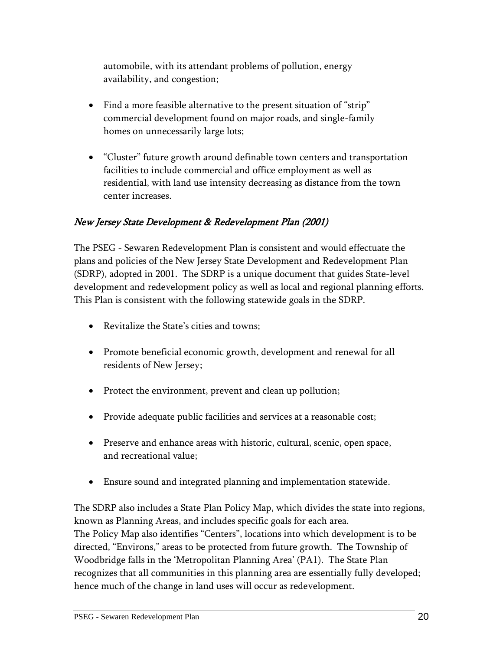automobile, with its attendant problems of pollution, energy availability, and congestion;

- Find a more feasible alternative to the present situation of "strip" commercial development found on major roads, and single-family homes on unnecessarily large lots;
- "Cluster" future growth around definable town centers and transportation facilities to include commercial and office employment as well as residential, with land use intensity decreasing as distance from the town center increases.

# New Jersey State Development & Redevelopment Plan (2001)

The PSEG - Sewaren Redevelopment Plan is consistent and would effectuate the plans and policies of the New Jersey State Development and Redevelopment Plan (SDRP), adopted in 2001. The SDRP is a unique document that guides State-level development and redevelopment policy as well as local and regional planning efforts. This Plan is consistent with the following statewide goals in the SDRP.

- Revitalize the State's cities and towns;
- Promote beneficial economic growth, development and renewal for all residents of New Jersey;
- Protect the environment, prevent and clean up pollution;
- Provide adequate public facilities and services at a reasonable cost;
- Preserve and enhance areas with historic, cultural, scenic, open space, and recreational value;
- Ensure sound and integrated planning and implementation statewide.

The SDRP also includes a State Plan Policy Map, which divides the state into regions, known as Planning Areas, and includes specific goals for each area. The Policy Map also identifies "Centers", locations into which development is to be directed, "Environs," areas to be protected from future growth. The Township of Woodbridge falls in the 'Metropolitan Planning Area' (PA1). The State Plan recognizes that all communities in this planning area are essentially fully developed; hence much of the change in land uses will occur as redevelopment.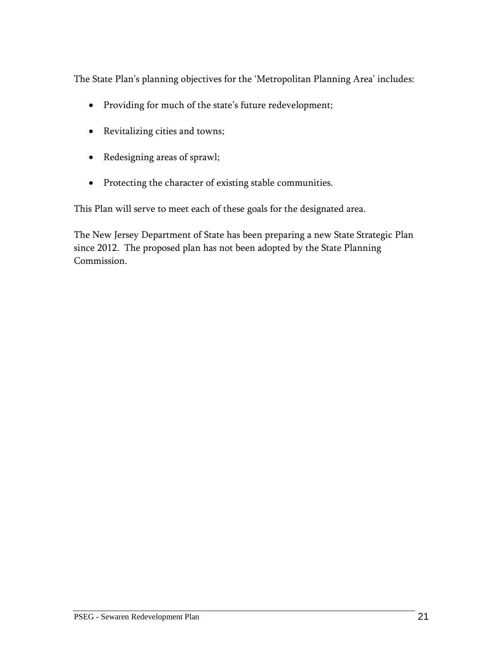The State Plan's planning objectives for the 'Metropolitan Planning Area' includes:

- Providing for much of the state's future redevelopment;
- Revitalizing cities and towns;
- Redesigning areas of sprawl;
- Protecting the character of existing stable communities.

This Plan will serve to meet each of these goals for the designated area.

The New Jersey Department of State has been preparing a new State Strategic Plan since 2012. The proposed plan has not been adopted by the State Planning Commission.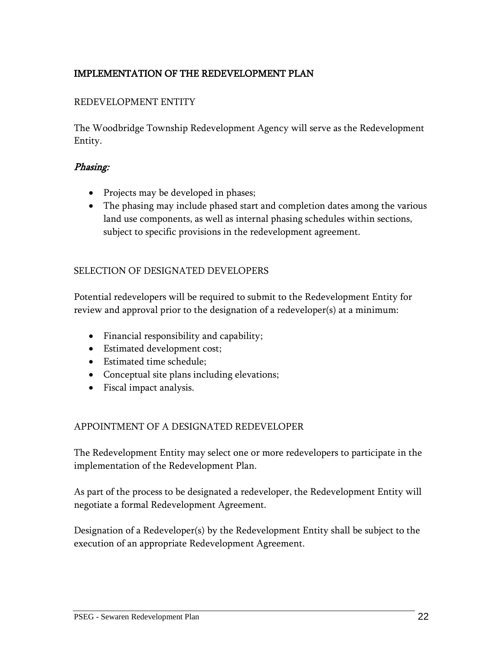# <span id="page-24-0"></span>IMPLEMENTATION OF THE REDEVELOPMENT PLAN

#### REDEVELOPMENT ENTITY

The Woodbridge Township Redevelopment Agency will serve as the Redevelopment Entity.

#### Phasing:

- Projects may be developed in phases;
- The phasing may include phased start and completion dates among the various land use components, as well as internal phasing schedules within sections, subject to specific provisions in the redevelopment agreement.

#### SELECTION OF DESIGNATED DEVELOPERS

Potential redevelopers will be required to submit to the Redevelopment Entity for review and approval prior to the designation of a redeveloper(s) at a minimum:

- Financial responsibility and capability;
- Estimated development cost;
- Estimated time schedule;
- Conceptual site plans including elevations;
- Fiscal impact analysis.

#### APPOINTMENT OF A DESIGNATED REDEVELOPER

The Redevelopment Entity may select one or more redevelopers to participate in the implementation of the Redevelopment Plan.

As part of the process to be designated a redeveloper, the Redevelopment Entity will negotiate a formal Redevelopment Agreement.

Designation of a Redeveloper(s) by the Redevelopment Entity shall be subject to the execution of an appropriate Redevelopment Agreement.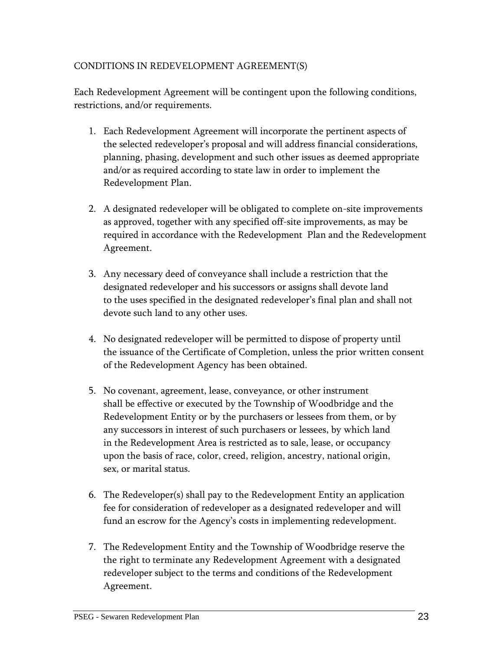#### CONDITIONS IN REDEVELOPMENT AGREEMENT(S)

Each Redevelopment Agreement will be contingent upon the following conditions, restrictions, and/or requirements.

- 1. Each Redevelopment Agreement will incorporate the pertinent aspects of the selected redeveloper's proposal and will address financial considerations, planning, phasing, development and such other issues as deemed appropriate and/or as required according to state law in order to implement the Redevelopment Plan.
- 2. A designated redeveloper will be obligated to complete on-site improvements as approved, together with any specified off-site improvements, as may be required in accordance with the Redevelopment Plan and the Redevelopment Agreement.
- 3. Any necessary deed of conveyance shall include a restriction that the designated redeveloper and his successors or assigns shall devote land to the uses specified in the designated redeveloper's final plan and shall not devote such land to any other uses.
- 4. No designated redeveloper will be permitted to dispose of property until the issuance of the Certificate of Completion, unless the prior written consent of the Redevelopment Agency has been obtained.
- 5. No covenant, agreement, lease, conveyance, or other instrument shall be effective or executed by the Township of Woodbridge and the Redevelopment Entity or by the purchasers or lessees from them, or by any successors in interest of such purchasers or lessees, by which land in the Redevelopment Area is restricted as to sale, lease, or occupancy upon the basis of race, color, creed, religion, ancestry, national origin, sex, or marital status.
- 6. The Redeveloper(s) shall pay to the Redevelopment Entity an application fee for consideration of redeveloper as a designated redeveloper and will fund an escrow for the Agency's costs in implementing redevelopment.
- 7. The Redevelopment Entity and the Township of Woodbridge reserve the the right to terminate any Redevelopment Agreement with a designated redeveloper subject to the terms and conditions of the Redevelopment Agreement.